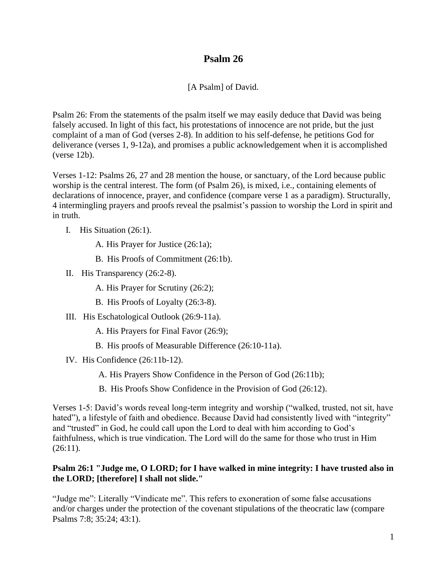# **Psalm 26**

#### [A Psalm] of David.

Psalm 26: From the statements of the psalm itself we may easily deduce that David was being falsely accused. In light of this fact, his protestations of innocence are not pride, but the just complaint of a man of God (verses 2-8). In addition to his self-defense, he petitions God for deliverance (verses 1, 9-12a), and promises a public acknowledgement when it is accomplished (verse 12b).

Verses 1-12: Psalms 26, 27 and 28 mention the house, or sanctuary, of the Lord because public worship is the central interest. The form (of Psalm 26), is mixed, i.e., containing elements of declarations of innocence, prayer, and confidence (compare verse 1 as a paradigm). Structurally, 4 intermingling prayers and proofs reveal the psalmist's passion to worship the Lord in spirit and in truth.

- I. His Situation (26:1).
	- A. His Prayer for Justice (26:1a);
	- B. His Proofs of Commitment (26:1b).
- II. His Transparency (26:2-8).
	- A. His Prayer for Scrutiny (26:2);
	- B. His Proofs of Loyalty (26:3-8).
- III. His Eschatological Outlook (26:9-11a).
	- A. His Prayers for Final Favor (26:9);
	- B. His proofs of Measurable Difference (26:10-11a).
- IV. His Confidence (26:11b-12).
	- A. His Prayers Show Confidence in the Person of God (26:11b);
	- B. His Proofs Show Confidence in the Provision of God (26:12).

Verses 1-5: David's words reveal long-term integrity and worship ("walked, trusted, not sit, have hated"), a lifestyle of faith and obedience. Because David had consistently lived with "integrity" and "trusted" in God, he could call upon the Lord to deal with him according to God's faithfulness, which is true vindication. The Lord will do the same for those who trust in Him  $(26:11).$ 

#### **Psalm 26:1 "Judge me, O LORD; for I have walked in mine integrity: I have trusted also in the LORD; [therefore] I shall not slide."**

"Judge me": Literally "Vindicate me". This refers to exoneration of some false accusations and/or charges under the protection of the covenant stipulations of the theocratic law (compare Psalms 7:8; 35:24; 43:1).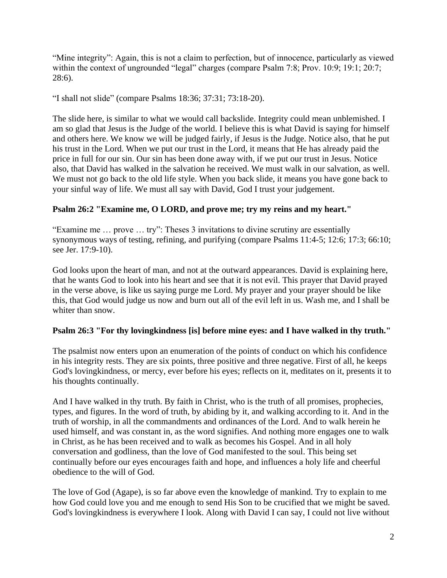"Mine integrity": Again, this is not a claim to perfection, but of innocence, particularly as viewed within the context of ungrounded "legal" charges (compare Psalm 7:8; Prov. 10:9; 19:1; 20:7; 28:6).

"I shall not slide" (compare Psalms 18:36; 37:31; 73:18-20).

The slide here, is similar to what we would call backslide. Integrity could mean unblemished. I am so glad that Jesus is the Judge of the world. I believe this is what David is saying for himself and others here. We know we will be judged fairly, if Jesus is the Judge. Notice also, that he put his trust in the Lord. When we put our trust in the Lord, it means that He has already paid the price in full for our sin. Our sin has been done away with, if we put our trust in Jesus. Notice also, that David has walked in the salvation he received. We must walk in our salvation, as well. We must not go back to the old life style. When you back slide, it means you have gone back to your sinful way of life. We must all say with David, God I trust your judgement.

## **Psalm 26:2 "Examine me, O LORD, and prove me; try my reins and my heart."**

"Examine me … prove … try": Theses 3 invitations to divine scrutiny are essentially synonymous ways of testing, refining, and purifying (compare Psalms 11:4-5; 12:6; 17:3; 66:10; see Jer. 17:9-10).

God looks upon the heart of man, and not at the outward appearances. David is explaining here, that he wants God to look into his heart and see that it is not evil. This prayer that David prayed in the verse above, is like us saying purge me Lord. My prayer and your prayer should be like this, that God would judge us now and burn out all of the evil left in us. Wash me, and I shall be whiter than snow.

## **Psalm 26:3 "For thy lovingkindness [is] before mine eyes: and I have walked in thy truth."**

The psalmist now enters upon an enumeration of the points of conduct on which his confidence in his integrity rests. They are six points, three positive and three negative. First of all, he keeps God's lovingkindness, or mercy, ever before his eyes; reflects on it, meditates on it, presents it to his thoughts continually.

And I have walked in thy truth. By faith in Christ, who is the truth of all promises, prophecies, types, and figures. In the word of truth, by abiding by it, and walking according to it. And in the truth of worship, in all the commandments and ordinances of the Lord. And to walk herein he used himself, and was constant in, as the word signifies. And nothing more engages one to walk in Christ, as he has been received and to walk as becomes his Gospel. And in all holy conversation and godliness, than the love of God manifested to the soul. This being set continually before our eyes encourages faith and hope, and influences a holy life and cheerful obedience to the will of God.

The love of God (Agape), is so far above even the knowledge of mankind. Try to explain to me how God could love you and me enough to send His Son to be crucified that we might be saved. God's lovingkindness is everywhere I look. Along with David I can say, I could not live without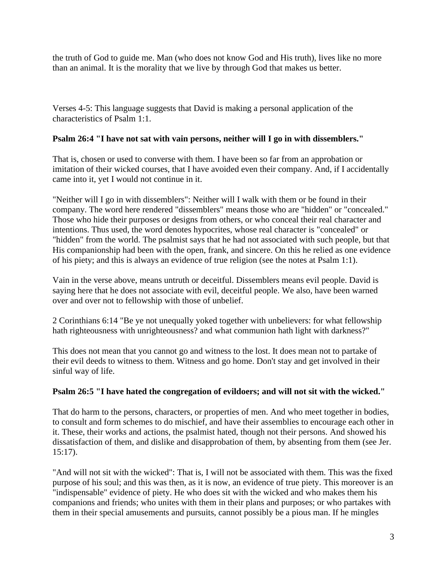the truth of God to guide me. Man (who does not know God and His truth), lives like no more than an animal. It is the morality that we live by through God that makes us better.

Verses 4-5: This language suggests that David is making a personal application of the characteristics of Psalm 1:1.

## **Psalm 26:4 "I have not sat with vain persons, neither will I go in with dissemblers."**

That is, chosen or used to converse with them. I have been so far from an approbation or imitation of their wicked courses, that I have avoided even their company. And, if I accidentally came into it, yet I would not continue in it.

"Neither will I go in with dissemblers": Neither will I walk with them or be found in their company. The word here rendered "dissemblers" means those who are "hidden" or "concealed." Those who hide their purposes or designs from others, or who conceal their real character and intentions. Thus used, the word denotes hypocrites, whose real character is "concealed" or "hidden" from the world. The psalmist says that he had not associated with such people, but that His companionship had been with the open, frank, and sincere. On this he relied as one evidence of his piety; and this is always an evidence of true religion (see the notes at Psalm 1:1).

Vain in the verse above, means untruth or deceitful. Dissemblers means evil people. David is saying here that he does not associate with evil, deceitful people. We also, have been warned over and over not to fellowship with those of unbelief.

2 Corinthians 6:14 "Be ye not unequally yoked together with unbelievers: for what fellowship hath righteousness with unrighteousness? and what communion hath light with darkness?"

This does not mean that you cannot go and witness to the lost. It does mean not to partake of their evil deeds to witness to them. Witness and go home. Don't stay and get involved in their sinful way of life.

#### **Psalm 26:5 "I have hated the congregation of evildoers; and will not sit with the wicked."**

That do harm to the persons, characters, or properties of men. And who meet together in bodies, to consult and form schemes to do mischief, and have their assemblies to encourage each other in it. These, their works and actions, the psalmist hated, though not their persons. And showed his dissatisfaction of them, and dislike and disapprobation of them, by absenting from them (see Jer. 15:17).

"And will not sit with the wicked": That is, I will not be associated with them. This was the fixed purpose of his soul; and this was then, as it is now, an evidence of true piety. This moreover is an "indispensable" evidence of piety. He who does sit with the wicked and who makes them his companions and friends; who unites with them in their plans and purposes; or who partakes with them in their special amusements and pursuits, cannot possibly be a pious man. If he mingles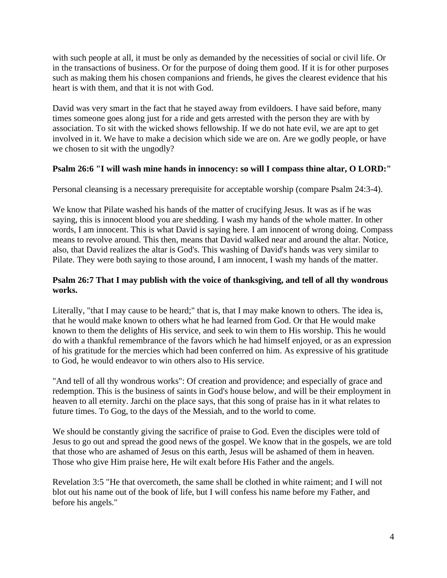with such people at all, it must be only as demanded by the necessities of social or civil life. Or in the transactions of business. Or for the purpose of doing them good. If it is for other purposes such as making them his chosen companions and friends, he gives the clearest evidence that his heart is with them, and that it is not with God.

David was very smart in the fact that he stayed away from evildoers. I have said before, many times someone goes along just for a ride and gets arrested with the person they are with by association. To sit with the wicked shows fellowship. If we do not hate evil, we are apt to get involved in it. We have to make a decision which side we are on. Are we godly people, or have we chosen to sit with the ungodly?

## **Psalm 26:6 "I will wash mine hands in innocency: so will I compass thine altar, O LORD:"**

Personal cleansing is a necessary prerequisite for acceptable worship (compare Psalm 24:3-4).

We know that Pilate washed his hands of the matter of crucifying Jesus. It was as if he was saying, this is innocent blood you are shedding. I wash my hands of the whole matter. In other words, I am innocent. This is what David is saying here. I am innocent of wrong doing. Compass means to revolve around. This then, means that David walked near and around the altar. Notice, also, that David realizes the altar is God's. This washing of David's hands was very similar to Pilate. They were both saying to those around, I am innocent, I wash my hands of the matter.

## **Psalm 26:7 That I may publish with the voice of thanksgiving, and tell of all thy wondrous works.**

Literally, "that I may cause to be heard;" that is, that I may make known to others. The idea is, that he would make known to others what he had learned from God. Or that He would make known to them the delights of His service, and seek to win them to His worship. This he would do with a thankful remembrance of the favors which he had himself enjoyed, or as an expression of his gratitude for the mercies which had been conferred on him. As expressive of his gratitude to God, he would endeavor to win others also to His service.

"And tell of all thy wondrous works": Of creation and providence; and especially of grace and redemption. This is the business of saints in God's house below, and will be their employment in heaven to all eternity. Jarchi on the place says, that this song of praise has in it what relates to future times. To Gog, to the days of the Messiah, and to the world to come.

We should be constantly giving the sacrifice of praise to God. Even the disciples were told of Jesus to go out and spread the good news of the gospel. We know that in the gospels, we are told that those who are ashamed of Jesus on this earth, Jesus will be ashamed of them in heaven. Those who give Him praise here, He wilt exalt before His Father and the angels.

Revelation 3:5 "He that overcometh, the same shall be clothed in white raiment; and I will not blot out his name out of the book of life, but I will confess his name before my Father, and before his angels."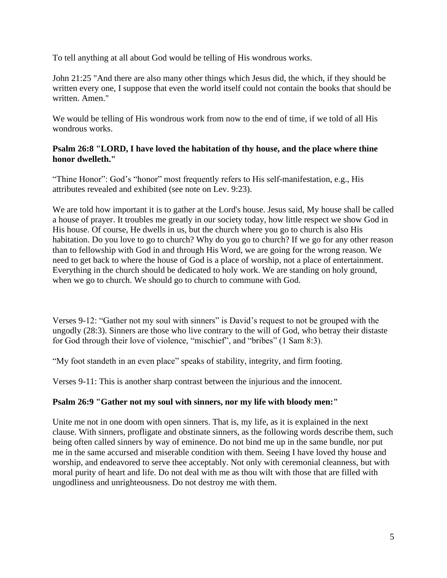To tell anything at all about God would be telling of His wondrous works.

John 21:25 "And there are also many other things which Jesus did, the which, if they should be written every one, I suppose that even the world itself could not contain the books that should be written. Amen."

We would be telling of His wondrous work from now to the end of time, if we told of all His wondrous works.

#### **Psalm 26:8 "LORD, I have loved the habitation of thy house, and the place where thine honor dwelleth."**

"Thine Honor": God's "honor" most frequently refers to His self-manifestation, e.g., His attributes revealed and exhibited (see note on Lev. 9:23).

We are told how important it is to gather at the Lord's house. Jesus said, My house shall be called a house of prayer. It troubles me greatly in our society today, how little respect we show God in His house. Of course, He dwells in us, but the church where you go to church is also His habitation. Do you love to go to church? Why do you go to church? If we go for any other reason than to fellowship with God in and through His Word, we are going for the wrong reason. We need to get back to where the house of God is a place of worship, not a place of entertainment. Everything in the church should be dedicated to holy work. We are standing on holy ground, when we go to church. We should go to church to commune with God.

Verses 9-12: "Gather not my soul with sinners" is David's request to not be grouped with the ungodly (28:3). Sinners are those who live contrary to the will of God, who betray their distaste for God through their love of violence, "mischief", and "bribes" (1 Sam 8:3).

"My foot standeth in an even place" speaks of stability, integrity, and firm footing.

Verses 9-11: This is another sharp contrast between the injurious and the innocent.

## **Psalm 26:9 "Gather not my soul with sinners, nor my life with bloody men:"**

Unite me not in one doom with open sinners. That is, my life, as it is explained in the next clause. With sinners, profligate and obstinate sinners, as the following words describe them, such being often called sinners by way of eminence. Do not bind me up in the same bundle, nor put me in the same accursed and miserable condition with them. Seeing I have loved thy house and worship, and endeavored to serve thee acceptably. Not only with ceremonial cleanness, but with moral purity of heart and life. Do not deal with me as thou wilt with those that are filled with ungodliness and unrighteousness. Do not destroy me with them.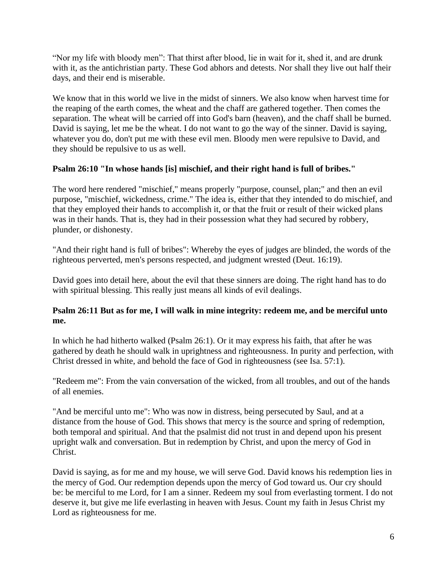"Nor my life with bloody men": That thirst after blood, lie in wait for it, shed it, and are drunk with it, as the antichristian party. These God abhors and detests. Nor shall they live out half their days, and their end is miserable.

We know that in this world we live in the midst of sinners. We also know when harvest time for the reaping of the earth comes, the wheat and the chaff are gathered together. Then comes the separation. The wheat will be carried off into God's barn (heaven), and the chaff shall be burned. David is saying, let me be the wheat. I do not want to go the way of the sinner. David is saying, whatever you do, don't put me with these evil men. Bloody men were repulsive to David, and they should be repulsive to us as well.

## **Psalm 26:10 "In whose hands [is] mischief, and their right hand is full of bribes."**

The word here rendered "mischief," means properly "purpose, counsel, plan;" and then an evil purpose, "mischief, wickedness, crime." The idea is, either that they intended to do mischief, and that they employed their hands to accomplish it, or that the fruit or result of their wicked plans was in their hands. That is, they had in their possession what they had secured by robbery, plunder, or dishonesty.

"And their right hand is full of bribes": Whereby the eyes of judges are blinded, the words of the righteous perverted, men's persons respected, and judgment wrested (Deut. 16:19).

David goes into detail here, about the evil that these sinners are doing. The right hand has to do with spiritual blessing. This really just means all kinds of evil dealings.

## **Psalm 26:11 But as for me, I will walk in mine integrity: redeem me, and be merciful unto me.**

In which he had hitherto walked (Psalm 26:1). Or it may express his faith, that after he was gathered by death he should walk in uprightness and righteousness. In purity and perfection, with Christ dressed in white, and behold the face of God in righteousness (see Isa. 57:1).

"Redeem me": From the vain conversation of the wicked, from all troubles, and out of the hands of all enemies.

"And be merciful unto me": Who was now in distress, being persecuted by Saul, and at a distance from the house of God. This shows that mercy is the source and spring of redemption, both temporal and spiritual. And that the psalmist did not trust in and depend upon his present upright walk and conversation. But in redemption by Christ, and upon the mercy of God in Christ.

David is saying, as for me and my house, we will serve God. David knows his redemption lies in the mercy of God. Our redemption depends upon the mercy of God toward us. Our cry should be: be merciful to me Lord, for I am a sinner. Redeem my soul from everlasting torment. I do not deserve it, but give me life everlasting in heaven with Jesus. Count my faith in Jesus Christ my Lord as righteousness for me.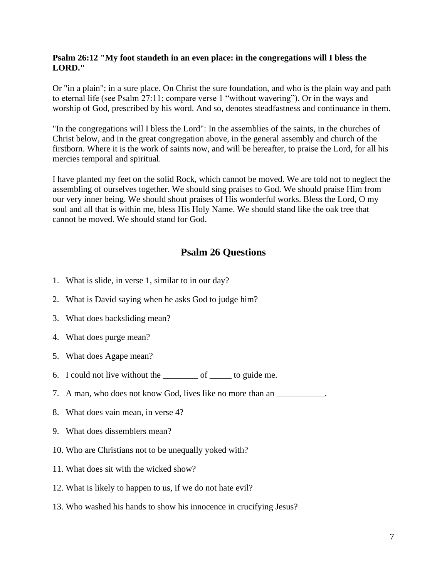#### **Psalm 26:12 "My foot standeth in an even place: in the congregations will I bless the LORD."**

Or "in a plain"; in a sure place. On Christ the sure foundation, and who is the plain way and path to eternal life (see Psalm 27:11; compare verse 1 "without wavering"). Or in the ways and worship of God, prescribed by his word. And so, denotes steadfastness and continuance in them.

"In the congregations will I bless the Lord": In the assemblies of the saints, in the churches of Christ below, and in the great congregation above, in the general assembly and church of the firstborn. Where it is the work of saints now, and will be hereafter, to praise the Lord, for all his mercies temporal and spiritual.

I have planted my feet on the solid Rock, which cannot be moved. We are told not to neglect the assembling of ourselves together. We should sing praises to God. We should praise Him from our very inner being. We should shout praises of His wonderful works. Bless the Lord, O my soul and all that is within me, bless His Holy Name. We should stand like the oak tree that cannot be moved. We should stand for God.

# **Psalm 26 Questions**

- 1. What is slide, in verse 1, similar to in our day?
- 2. What is David saying when he asks God to judge him?
- 3. What does backsliding mean?
- 4. What does purge mean?
- 5. What does Agape mean?
- 6. I could not live without the  $\qquad \qquad$  of  $\qquad$  to guide me.
- 7. A man, who does not know God, lives like no more than an \_\_\_\_\_\_\_\_\_\_\_.
- 8. What does vain mean, in verse 4?
- 9. What does dissemblers mean?
- 10. Who are Christians not to be unequally yoked with?
- 11. What does sit with the wicked show?
- 12. What is likely to happen to us, if we do not hate evil?
- 13. Who washed his hands to show his innocence in crucifying Jesus?